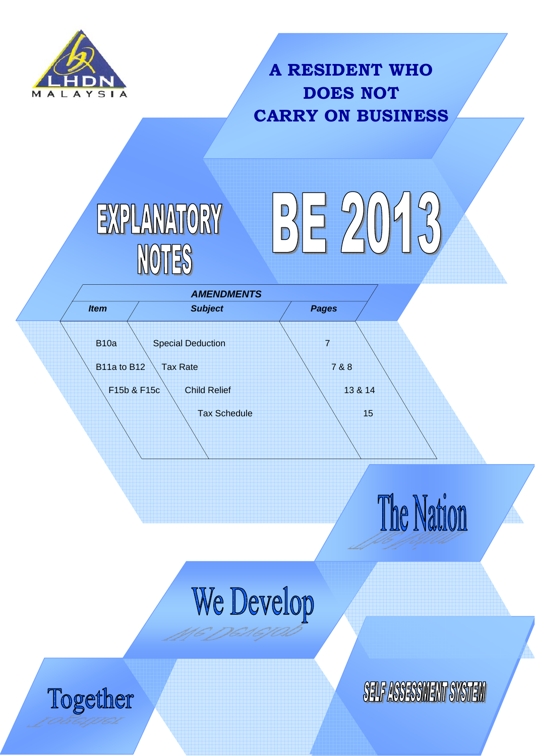

Together

# **A RESIDENT WHO DOES NOT CARRY ON BUSINESS**







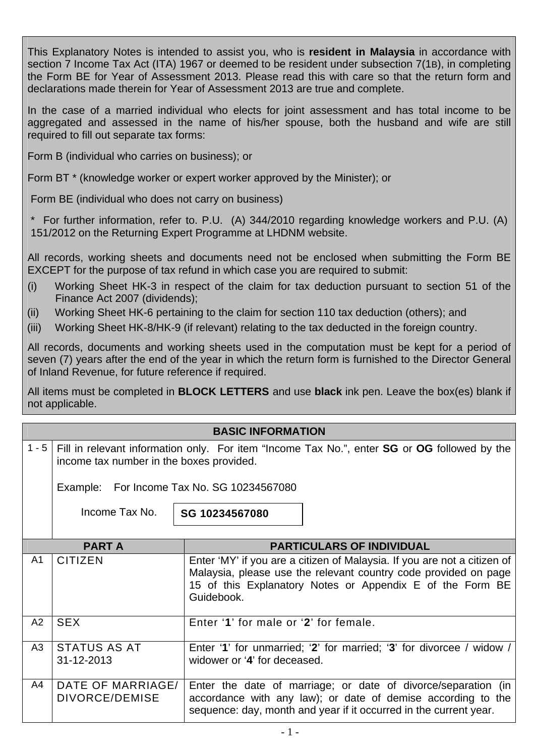This Explanatory Notes is intended to assist you, who is **resident in Malaysia** in accordance with section 7 Income Tax Act (ITA) 1967 or deemed to be resident under subsection 7(1B), in completing the Form BE for Year of Assessment 2013. Please read this with care so that the return form and declarations made therein for Year of Assessment 2013 are true and complete.

In the case of a married individual who elects for joint assessment and has total income to be aggregated and assessed in the name of his/her spouse, both the husband and wife are still required to fill out separate tax forms:

Form B (individual who carries on business); or

Form BT \* (knowledge worker or expert worker approved by the Minister); or

Form BE (individual who does not carry on business)

\* For further information, refer to. P.U. (A) 344/2010 regarding knowledge workers and P.U. (A) 151/2012 on the Returning Expert Programme at LHDNM website.

All records, working sheets and documents need not be enclosed when submitting the Form BE EXCEPT for the purpose of tax refund in which case you are required to submit:

- (i) Working Sheet HK-3 in respect of the claim for tax deduction pursuant to section 51 of the Finance Act 2007 (dividends);
- (ii) Working Sheet HK-6 pertaining to the claim for section 110 tax deduction (others); and
- (iii) Working Sheet HK-8/HK-9 (if relevant) relating to the tax deducted in the foreign country.

All records, documents and working sheets used in the computation must be kept for a period of seven (7) years after the end of the year in which the return form is furnished to the Director General of Inland Revenue, for future reference if required.

All items must be completed in **BLOCK LETTERS** and use **black** ink pen. Leave the box(es) blank if not applicable.

## **BASIC INFORMATION**

1 - 5 Fill in relevant information only. For item "Income Tax No.", enter **SG** or **OG** followed by the income tax number in the boxes provided.

Example: For Income Tax No. SG 10234567080

Income Tax No.

**SG 10234567080** 

|                | <b>PART A</b>                       | <b>PARTICULARS OF INDIVIDUAL</b>                                                                                                                                                                                       |
|----------------|-------------------------------------|------------------------------------------------------------------------------------------------------------------------------------------------------------------------------------------------------------------------|
| A1             | <b>CITIZEN</b>                      | Enter 'MY' if you are a citizen of Malaysia. If you are not a citizen of<br>Malaysia, please use the relevant country code provided on page<br>15 of this Explanatory Notes or Appendix E of the Form BE<br>Guidebook. |
| A <sub>2</sub> | <b>SEX</b>                          | Enter '1' for male or '2' for female.                                                                                                                                                                                  |
| A3             | <b>STATUS AS AT</b><br>31-12-2013   | Enter '1' for unmarried; '2' for married; '3' for divorcee / widow /<br>widower or '4' for deceased.                                                                                                                   |
| A4             | DATE OF MARRIAGE/<br>DIVORCE/DEMISE | Enter the date of marriage; or date of divorce/separation (in<br>accordance with any law); or date of demise according to the<br>sequence: day, month and year if it occurred in the current year.                     |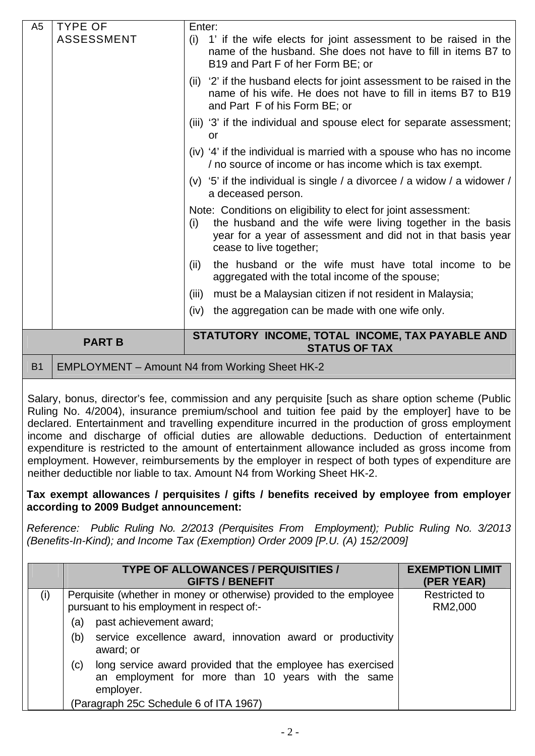| A <sub>5</sub> | <b>TYPE OF</b>    | Enter:                                                                                                                                                                                                                         |
|----------------|-------------------|--------------------------------------------------------------------------------------------------------------------------------------------------------------------------------------------------------------------------------|
|                | <b>ASSESSMENT</b> | (i) 1' if the wife elects for joint assessment to be raised in the<br>name of the husband. She does not have to fill in items B7 to<br>B19 and Part F of her Form BE; or                                                       |
|                |                   | (ii) '2' if the husband elects for joint assessment to be raised in the<br>name of his wife. He does not have to fill in items B7 to B19<br>and Part F of his Form BE; or                                                      |
|                |                   | (iii) '3' if the individual and spouse elect for separate assessment;<br>or                                                                                                                                                    |
|                |                   | (iv) '4' if the individual is married with a spouse who has no income<br>/ no source of income or has income which is tax exempt.                                                                                              |
|                |                   | (v) '5' if the individual is single / a divorcee / a widow / a widower /<br>a deceased person.                                                                                                                                 |
|                |                   | Note: Conditions on eligibility to elect for joint assessment:<br>the husband and the wife were living together in the basis<br>(i)<br>year for a year of assessment and did not in that basis year<br>cease to live together; |
|                |                   | the husband or the wife must have total income to be<br>(ii)<br>aggregated with the total income of the spouse;                                                                                                                |
|                |                   | must be a Malaysian citizen if not resident in Malaysia;<br>(iii)                                                                                                                                                              |
|                |                   | the aggregation can be made with one wife only.<br>(iv)                                                                                                                                                                        |
|                | <b>PART B</b>     | STATUTORY INCOME, TOTAL INCOME, TAX PAYABLE AND<br><b>STATUS OF TAX</b>                                                                                                                                                        |
| <b>B1</b>      |                   | EMPLOYMENT - Amount N4 from Working Sheet HK-2                                                                                                                                                                                 |

Salary, bonus, director's fee, commission and any perquisite [such as share option scheme (Public Ruling No. 4/2004), insurance premium/school and tuition fee paid by the employer] have to be declared. Entertainment and travelling expenditure incurred in the production of gross employment income and discharge of official duties are allowable deductions. Deduction of entertainment expenditure is restricted to the amount of entertainment allowance included as gross income from employment. However, reimbursements by the employer in respect of both types of expenditure are neither deductible nor liable to tax. Amount N4 from Working Sheet HK-2.

#### **Tax exempt allowances / perquisites / gifts / benefits received by employee from employer according to 2009 Budget announcement:**

*Reference: Public Ruling No. 2/2013 (Perquisites From Employment); Public Ruling No. 3/2013 (Benefits-In-Kind); and Income Tax (Exemption) Order 2009 [P.U. (A) 152/2009]* 

|     | <b>TYPE OF ALLOWANCES / PERQUISITIES /</b><br><b>GIFTS / BENEFIT</b>                                                                  | <b>EXEMPTION LIMIT</b><br>(PER YEAR) |
|-----|---------------------------------------------------------------------------------------------------------------------------------------|--------------------------------------|
| (i) | Perquisite (whether in money or otherwise) provided to the employee<br>pursuant to his employment in respect of:-                     | <b>Restricted to</b><br>RM2,000      |
|     | past achievement award;<br>(a)                                                                                                        |                                      |
|     | service excellence award, innovation award or productivity<br>(b)<br>award; or                                                        |                                      |
|     | long service award provided that the employee has exercised<br>(c)<br>an employment for more than 10 years with the same<br>employer. |                                      |
|     | (Paragraph 25C Schedule 6 of ITA 1967)                                                                                                |                                      |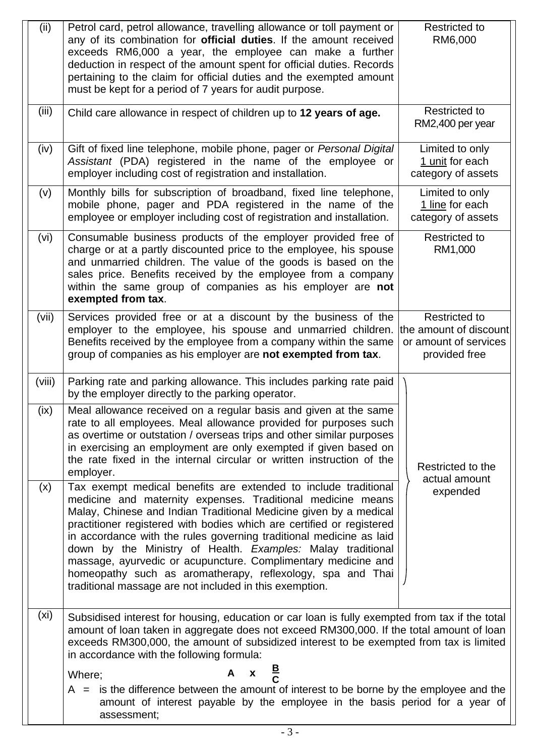| (ii)              | Petrol card, petrol allowance, travelling allowance or toll payment or<br>any of its combination for <b>official duties</b> . If the amount received<br>exceeds RM6,000 a year, the employee can make a further<br>deduction in respect of the amount spent for official duties. Records<br>pertaining to the claim for official duties and the exempted amount<br>must be kept for a period of 7 years for audit purpose.                                                                                                                                                                                   | <b>Restricted to</b><br>RM6,000                                                          |
|-------------------|--------------------------------------------------------------------------------------------------------------------------------------------------------------------------------------------------------------------------------------------------------------------------------------------------------------------------------------------------------------------------------------------------------------------------------------------------------------------------------------------------------------------------------------------------------------------------------------------------------------|------------------------------------------------------------------------------------------|
| (iii)             | Child care allowance in respect of children up to 12 years of age.                                                                                                                                                                                                                                                                                                                                                                                                                                                                                                                                           | <b>Restricted to</b><br>RM2,400 per year                                                 |
| (iv)              | Gift of fixed line telephone, mobile phone, pager or Personal Digital<br>Assistant (PDA) registered in the name of the employee or<br>employer including cost of registration and installation.                                                                                                                                                                                                                                                                                                                                                                                                              | Limited to only<br>1 unit for each<br>category of assets                                 |
| (v)               | Monthly bills for subscription of broadband, fixed line telephone,<br>mobile phone, pager and PDA registered in the name of the<br>employee or employer including cost of registration and installation.                                                                                                                                                                                                                                                                                                                                                                                                     | Limited to only<br>1 line for each<br>category of assets                                 |
| (vi)              | Consumable business products of the employer provided free of<br>charge or at a partly discounted price to the employee, his spouse<br>and unmarried children. The value of the goods is based on the<br>sales price. Benefits received by the employee from a company<br>within the same group of companies as his employer are not<br>exempted from tax.                                                                                                                                                                                                                                                   | <b>Restricted to</b><br>RM1,000                                                          |
| (vii)             | Services provided free or at a discount by the business of the<br>employer to the employee, his spouse and unmarried children.<br>Benefits received by the employee from a company within the same<br>group of companies as his employer are not exempted from tax.                                                                                                                                                                                                                                                                                                                                          | <b>Restricted to</b><br>the amount of discount<br>or amount of services<br>provided free |
| (viii)            | Parking rate and parking allowance. This includes parking rate paid<br>by the employer directly to the parking operator.                                                                                                                                                                                                                                                                                                                                                                                                                                                                                     |                                                                                          |
| (ix)              | Meal allowance received on a regular basis and given at the same<br>rate to all employees. Meal allowance provided for purposes such<br>as overtime or outstation / overseas trips and other similar purposes<br>in exercising an employment are only exempted if given based on<br>the rate fixed in the internal circular or written instruction of the<br>employer.                                                                                                                                                                                                                                       | Restricted to the<br>actual amount                                                       |
| (x)               | Tax exempt medical benefits are extended to include traditional<br>medicine and maternity expenses. Traditional medicine means<br>Malay, Chinese and Indian Traditional Medicine given by a medical<br>practitioner registered with bodies which are certified or registered<br>in accordance with the rules governing traditional medicine as laid<br>down by the Ministry of Health. Examples: Malay traditional<br>massage, ayurvedic or acupuncture. Complimentary medicine and<br>homeopathy such as aromatherapy, reflexology, spa and Thai<br>traditional massage are not included in this exemption. | expended                                                                                 |
| (x <sub>i</sub> ) | Subsidised interest for housing, education or car loan is fully exempted from tax if the total<br>amount of loan taken in aggregate does not exceed RM300,000. If the total amount of loan<br>exceeds RM300,000, the amount of subsidized interest to be exempted from tax is limited<br>in accordance with the following formula:                                                                                                                                                                                                                                                                           |                                                                                          |
|                   | A $x = \frac{B}{C}$<br>Where;                                                                                                                                                                                                                                                                                                                                                                                                                                                                                                                                                                                |                                                                                          |
|                   | $A =$ is the difference between the amount of interest to be borne by the employee and the<br>amount of interest payable by the employee in the basis period for a year of<br>assessment;                                                                                                                                                                                                                                                                                                                                                                                                                    |                                                                                          |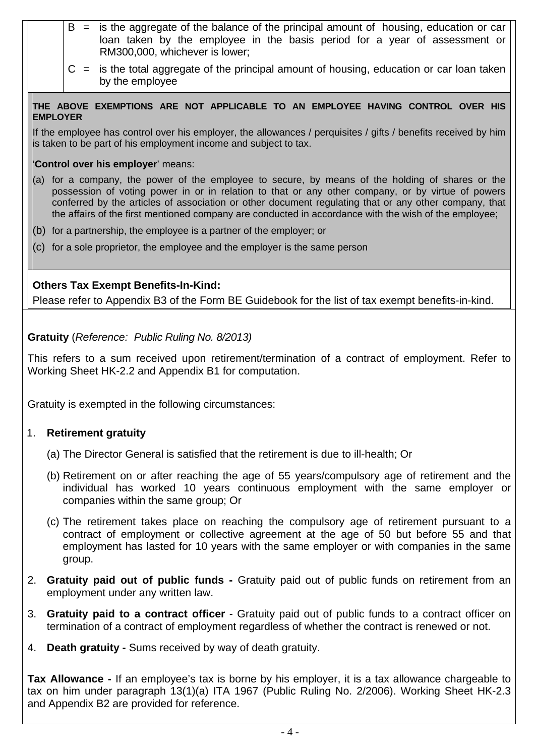- $B =$  is the aggregate of the balance of the principal amount of housing, education or car loan taken by the employee in the basis period for a year of assessment or RM300,000, whichever is lower;
	- $C =$  is the total aggregate of the principal amount of housing, education or car loan taken by the employee

**THE ABOVE EXEMPTIONS ARE NOT APPLICABLE TO AN EMPLOYEE HAVING CONTROL OVER HIS EMPLOYER** 

If the employee has control over his employer, the allowances / perquisites / gifts / benefits received by him is taken to be part of his employment income and subject to tax.

'**Control over his employer**' means:

- (a) for a company, the power of the employee to secure, by means of the holding of shares or the possession of voting power in or in relation to that or any other company, or by virtue of powers conferred by the articles of association or other document regulating that or any other company, that the affairs of the first mentioned company are conducted in accordance with the wish of the employee;
- (b) for a partnership, the employee is a partner of the employer; or
- (c) for a sole proprietor, the employee and the employer is the same person

# **Others Tax Exempt Benefits-In-Kind:**

Please refer to Appendix B3 of the Form BE Guidebook for the list of tax exempt benefits-in-kind.

**Gratuity** (*Reference: Public Ruling No. 8/2013)*

This refers to a sum received upon retirement/termination of a contract of employment. Refer to Working Sheet HK-2.2 and Appendix B1 for computation.

Gratuity is exempted in the following circumstances:

## 1. **Retirement gratuity**

- (a) The Director General is satisfied that the retirement is due to ill-health; Or
- (b) Retirement on or after reaching the age of 55 years/compulsory age of retirement and the individual has worked 10 years continuous employment with the same employer or companies within the same group; Or
- (c) The retirement takes place on reaching the compulsory age of retirement pursuant to a contract of employment or collective agreement at the age of 50 but before 55 and that employment has lasted for 10 years with the same employer or with companies in the same group.
- 2. **Gratuity paid out of public funds** Gratuity paid out of public funds on retirement from an employment under any written law.
- 3. **Gratuity paid to a contract officer** Gratuity paid out of public funds to a contract officer on termination of a contract of employment regardless of whether the contract is renewed or not.
- 4. **Death gratuity** Sums received by way of death gratuity.

**Tax Allowance -** If an employee's tax is borne by his employer, it is a tax allowance chargeable to tax on him under paragraph 13(1)(a) ITA 1967 (Public Ruling No. 2/2006). Working Sheet HK-2.3 and Appendix B2 are provided for reference.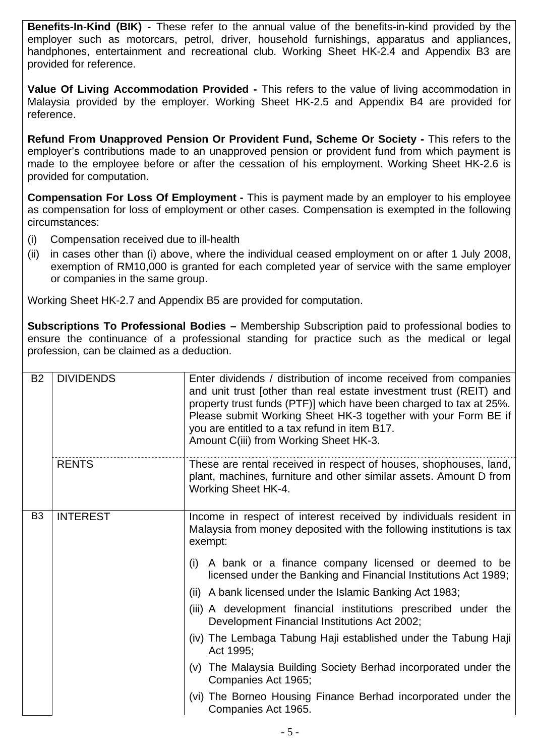**Benefits-In-Kind (BIK) -** These refer to the annual value of the benefits-in-kind provided by the employer such as motorcars, petrol, driver, household furnishings, apparatus and appliances, handphones, entertainment and recreational club. Working Sheet HK-2.4 and Appendix B3 are provided for reference.

**Value Of Living Accommodation Provided -** This refers to the value of living accommodation in Malaysia provided by the employer. Working Sheet HK-2.5 and Appendix B4 are provided for reference.

**Refund From Unapproved Pension Or Provident Fund, Scheme Or Society -** This refers to the employer's contributions made to an unapproved pension or provident fund from which payment is made to the employee before or after the cessation of his employment. Working Sheet HK-2.6 is provided for computation.

**Compensation For Loss Of Employment -** This is payment made by an employer to his employee as compensation for loss of employment or other cases. Compensation is exempted in the following circumstances:

- (i) Compensation received due to ill-health
- (ii) in cases other than (i) above, where the individual ceased employment on or after 1 July 2008, exemption of RM10,000 is granted for each completed year of service with the same employer or companies in the same group.

Working Sheet HK-2.7 and Appendix B5 are provided for computation.

**Subscriptions To Professional Bodies –** Membership Subscription paid to professional bodies to ensure the continuance of a professional standing for practice such as the medical or legal profession, can be claimed as a deduction.

| <b>B2</b>      | <b>DIVIDENDS</b> | Enter dividends / distribution of income received from companies<br>and unit trust [other than real estate investment trust (REIT) and<br>property trust funds (PTF)] which have been charged to tax at 25%.<br>Please submit Working Sheet HK-3 together with your Form BE if<br>you are entitled to a tax refund in item B17.<br>Amount C(iii) from Working Sheet HK-3. |
|----------------|------------------|---------------------------------------------------------------------------------------------------------------------------------------------------------------------------------------------------------------------------------------------------------------------------------------------------------------------------------------------------------------------------|
|                | <b>RENTS</b>     | These are rental received in respect of houses, shophouses, land,<br>plant, machines, furniture and other similar assets. Amount D from<br>Working Sheet HK-4.                                                                                                                                                                                                            |
| B <sub>3</sub> | <b>INTEREST</b>  | Income in respect of interest received by individuals resident in<br>Malaysia from money deposited with the following institutions is tax<br>exempt:                                                                                                                                                                                                                      |
|                |                  | (i) A bank or a finance company licensed or deemed to be<br>licensed under the Banking and Financial Institutions Act 1989;                                                                                                                                                                                                                                               |
|                |                  | (ii) A bank licensed under the Islamic Banking Act 1983;                                                                                                                                                                                                                                                                                                                  |
|                |                  | (iii) A development financial institutions prescribed under the<br>Development Financial Institutions Act 2002;                                                                                                                                                                                                                                                           |
|                |                  | (iv) The Lembaga Tabung Haji established under the Tabung Haji<br>Act 1995;                                                                                                                                                                                                                                                                                               |
|                |                  | (v) The Malaysia Building Society Berhad incorporated under the<br>Companies Act 1965;                                                                                                                                                                                                                                                                                    |
|                |                  | (vi) The Borneo Housing Finance Berhad incorporated under the<br>Companies Act 1965.                                                                                                                                                                                                                                                                                      |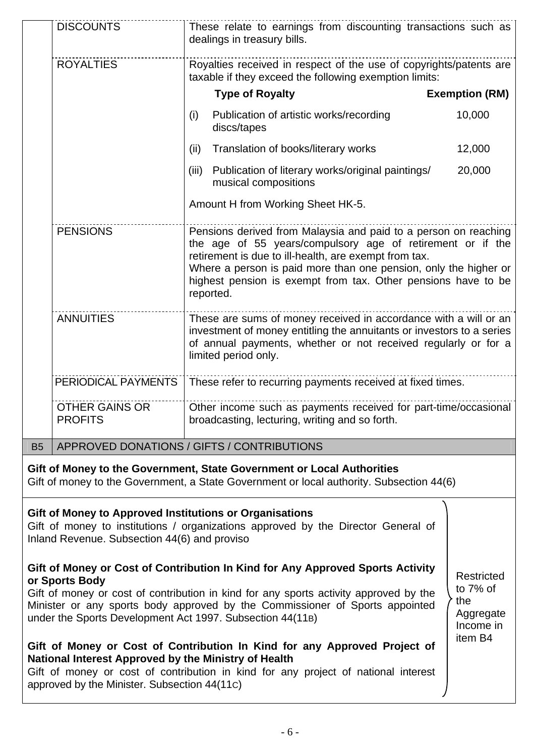|                                                                                                                                                                                              | <b>DISCOUNTS</b>                                                                                                                                                                                                                                                                                                                                                                                     | These relate to earnings from discounting transactions such as<br>dealings in treasury bills.                                                                                                                                                                                                                                            |                       |
|----------------------------------------------------------------------------------------------------------------------------------------------------------------------------------------------|------------------------------------------------------------------------------------------------------------------------------------------------------------------------------------------------------------------------------------------------------------------------------------------------------------------------------------------------------------------------------------------------------|------------------------------------------------------------------------------------------------------------------------------------------------------------------------------------------------------------------------------------------------------------------------------------------------------------------------------------------|-----------------------|
|                                                                                                                                                                                              | <b>ROYALTIES</b>                                                                                                                                                                                                                                                                                                                                                                                     | Royalties received in respect of the use of copyrights/patents are<br>taxable if they exceed the following exemption limits:                                                                                                                                                                                                             |                       |
|                                                                                                                                                                                              |                                                                                                                                                                                                                                                                                                                                                                                                      | <b>Type of Royalty</b>                                                                                                                                                                                                                                                                                                                   | <b>Exemption (RM)</b> |
|                                                                                                                                                                                              |                                                                                                                                                                                                                                                                                                                                                                                                      | Publication of artistic works/recording<br>(i)<br>discs/tapes                                                                                                                                                                                                                                                                            | 10,000                |
|                                                                                                                                                                                              |                                                                                                                                                                                                                                                                                                                                                                                                      | (ii)<br>Translation of books/literary works                                                                                                                                                                                                                                                                                              | 12,000                |
|                                                                                                                                                                                              |                                                                                                                                                                                                                                                                                                                                                                                                      | Publication of literary works/original paintings/<br>(iii)<br>musical compositions                                                                                                                                                                                                                                                       | 20,000                |
|                                                                                                                                                                                              |                                                                                                                                                                                                                                                                                                                                                                                                      | Amount H from Working Sheet HK-5.                                                                                                                                                                                                                                                                                                        |                       |
|                                                                                                                                                                                              | <b>PENSIONS</b>                                                                                                                                                                                                                                                                                                                                                                                      | Pensions derived from Malaysia and paid to a person on reaching<br>the age of 55 years/compulsory age of retirement or if the<br>retirement is due to ill-health, are exempt from tax.<br>Where a person is paid more than one pension, only the higher or<br>highest pension is exempt from tax. Other pensions have to be<br>reported. |                       |
|                                                                                                                                                                                              | <b>ANNUITIES</b>                                                                                                                                                                                                                                                                                                                                                                                     | These are sums of money received in accordance with a will or an<br>investment of money entitling the annuitants or investors to a series<br>of annual payments, whether or not received regularly or for a<br>limited period only.                                                                                                      |                       |
|                                                                                                                                                                                              | PERIODICAL PAYMENTS                                                                                                                                                                                                                                                                                                                                                                                  | These refer to recurring payments received at fixed times.                                                                                                                                                                                                                                                                               |                       |
|                                                                                                                                                                                              | <b>OTHER GAINS OR</b><br><b>PROFITS</b>                                                                                                                                                                                                                                                                                                                                                              | Other income such as payments received for part-time/occasional<br>broadcasting, lecturing, writing and so forth.                                                                                                                                                                                                                        |                       |
| <b>B5</b>                                                                                                                                                                                    |                                                                                                                                                                                                                                                                                                                                                                                                      | APPROVED DONATIONS / GIFTS / CONTRIBUTIONS                                                                                                                                                                                                                                                                                               |                       |
|                                                                                                                                                                                              |                                                                                                                                                                                                                                                                                                                                                                                                      | Gift of Money to the Government, State Government or Local Authorities<br>Gift of money to the Government, a State Government or local authority. Subsection 44(6)                                                                                                                                                                       |                       |
| Gift of Money to Approved Institutions or Organisations<br>Gift of money to institutions / organizations approved by the Director General of<br>Inland Revenue. Subsection 44(6) and proviso |                                                                                                                                                                                                                                                                                                                                                                                                      |                                                                                                                                                                                                                                                                                                                                          |                       |
|                                                                                                                                                                                              | Gift of Money or Cost of Contribution In Kind for Any Approved Sports Activity<br>Restricted<br>or Sports Body<br>to $7\%$ of<br>Gift of money or cost of contribution in kind for any sports activity approved by the<br>the<br>Minister or any sports body approved by the Commissioner of Sports appointed<br>Aggregate<br>under the Sports Development Act 1997. Subsection 44(11B)<br>Income in |                                                                                                                                                                                                                                                                                                                                          |                       |
|                                                                                                                                                                                              | item B4<br>Gift of Money or Cost of Contribution In Kind for any Approved Project of<br>National Interest Approved by the Ministry of Health<br>Gift of money or cost of contribution in kind for any project of national interest<br>approved by the Minister. Subsection 44(11c)                                                                                                                   |                                                                                                                                                                                                                                                                                                                                          |                       |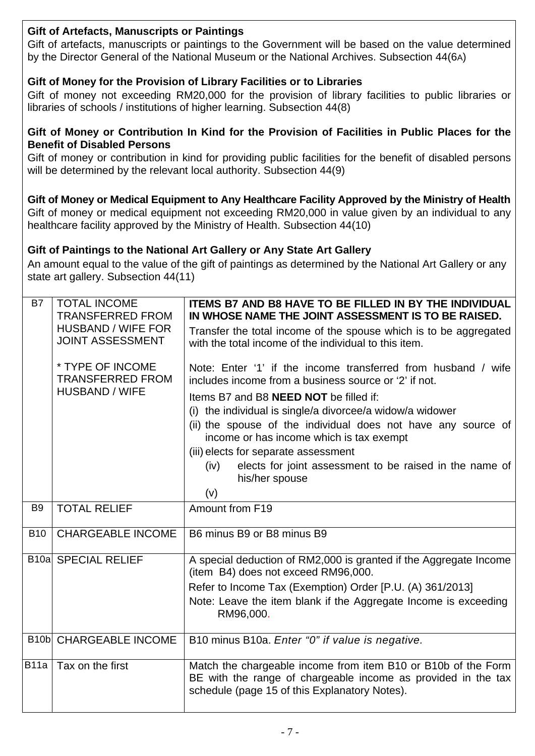|                | <b>Gift of Artefacts, Manuscripts or Paintings</b><br>Gift of artefacts, manuscripts or paintings to the Government will be based on the value determined<br>by the Director General of the National Museum or the National Archives. Subsection 44(6A)                                                                   |                                                                                                                                                                                                                                                                                                                                                                                                                                                                                       |  |  |
|----------------|---------------------------------------------------------------------------------------------------------------------------------------------------------------------------------------------------------------------------------------------------------------------------------------------------------------------------|---------------------------------------------------------------------------------------------------------------------------------------------------------------------------------------------------------------------------------------------------------------------------------------------------------------------------------------------------------------------------------------------------------------------------------------------------------------------------------------|--|--|
|                | Gift of Money for the Provision of Library Facilities or to Libraries<br>Gift of money not exceeding RM20,000 for the provision of library facilities to public libraries or<br>libraries of schools / institutions of higher learning. Subsection 44(8)                                                                  |                                                                                                                                                                                                                                                                                                                                                                                                                                                                                       |  |  |
|                | Gift of Money or Contribution In Kind for the Provision of Facilities in Public Places for the<br><b>Benefit of Disabled Persons</b><br>Gift of money or contribution in kind for providing public facilities for the benefit of disabled persons<br>will be determined by the relevant local authority. Subsection 44(9) |                                                                                                                                                                                                                                                                                                                                                                                                                                                                                       |  |  |
|                |                                                                                                                                                                                                                                                                                                                           | Gift of Money or Medical Equipment to Any Healthcare Facility Approved by the Ministry of Health<br>Gift of money or medical equipment not exceeding RM20,000 in value given by an individual to any<br>healthcare facility approved by the Ministry of Health. Subsection 44(10)                                                                                                                                                                                                     |  |  |
|                | state art gallery. Subsection 44(11)                                                                                                                                                                                                                                                                                      | Gift of Paintings to the National Art Gallery or Any State Art Gallery<br>An amount equal to the value of the gift of paintings as determined by the National Art Gallery or any                                                                                                                                                                                                                                                                                                      |  |  |
| B7             | <b>TOTAL INCOME</b><br><b>TRANSFERRED FROM</b><br><b>HUSBAND / WIFE FOR</b><br><b>JOINT ASSESSMENT</b>                                                                                                                                                                                                                    | <b>ITEMS B7 AND B8 HAVE TO BE FILLED IN BY THE INDIVIDUAL</b><br>IN WHOSE NAME THE JOINT ASSESSMENT IS TO BE RAISED.<br>Transfer the total income of the spouse which is to be aggregated<br>with the total income of the individual to this item.                                                                                                                                                                                                                                    |  |  |
|                | * TYPE OF INCOME<br><b>TRANSFERRED FROM</b><br><b>HUSBAND / WIFE</b>                                                                                                                                                                                                                                                      | Note: Enter '1' if the income transferred from husband / wife<br>includes income from a business source or '2' if not.<br>Items B7 and B8 <b>NEED NOT</b> be filled if:<br>(i) the individual is single/a divorcee/a widow/a widower<br>(ii) the spouse of the individual does not have any source of<br>income or has income which is tax exempt<br>(iii) elects for separate assessment<br>elects for joint assessment to be raised in the name of<br>(iv)<br>his/her spouse<br>(v) |  |  |
| B <sub>9</sub> | <b>TOTAL RELIEF</b>                                                                                                                                                                                                                                                                                                       | Amount from F19                                                                                                                                                                                                                                                                                                                                                                                                                                                                       |  |  |
| <b>B10</b>     | <b>CHARGEABLE INCOME</b>                                                                                                                                                                                                                                                                                                  | B6 minus B9 or B8 minus B9                                                                                                                                                                                                                                                                                                                                                                                                                                                            |  |  |
|                | <b>B10a SPECIAL RELIEF</b>                                                                                                                                                                                                                                                                                                | A special deduction of RM2,000 is granted if the Aggregate Income<br>(item B4) does not exceed RM96,000.<br>Refer to Income Tax (Exemption) Order [P.U. (A) 361/2013]<br>Note: Leave the item blank if the Aggregate Income is exceeding<br>RM96,000.                                                                                                                                                                                                                                 |  |  |
| <b>B10b</b>    | <b>CHARGEABLE INCOME</b>                                                                                                                                                                                                                                                                                                  | B10 minus B10a. Enter "0" if value is negative.                                                                                                                                                                                                                                                                                                                                                                                                                                       |  |  |
| <b>B11a</b>    | Tax on the first                                                                                                                                                                                                                                                                                                          | Match the chargeable income from item B10 or B10b of the Form<br>BE with the range of chargeable income as provided in the tax<br>schedule (page 15 of this Explanatory Notes).                                                                                                                                                                                                                                                                                                       |  |  |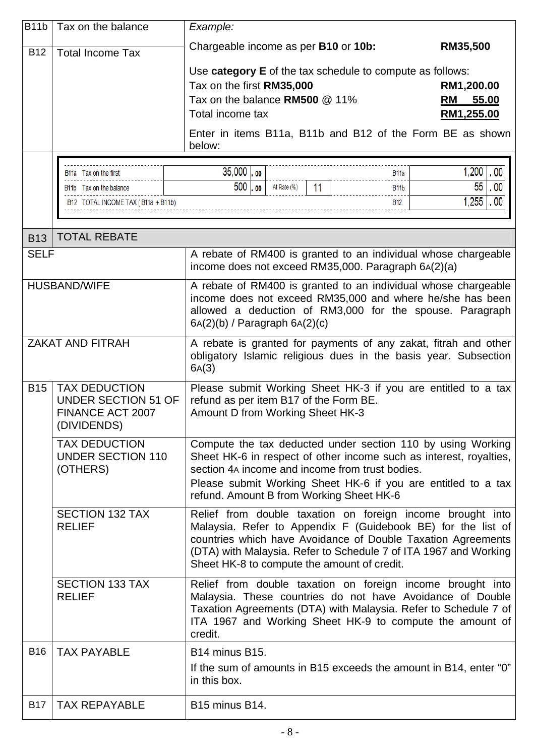| <b>B11b</b> | Tax on the balance                                                                                | Example:                                                                                                                                                                                                                                                                                                      |                                                |
|-------------|---------------------------------------------------------------------------------------------------|---------------------------------------------------------------------------------------------------------------------------------------------------------------------------------------------------------------------------------------------------------------------------------------------------------------|------------------------------------------------|
| <b>B12</b>  | <b>Total Income Tax</b>                                                                           | Chargeable income as per B10 or 10b:                                                                                                                                                                                                                                                                          | RM35,500                                       |
|             |                                                                                                   | Use category E of the tax schedule to compute as follows:<br>Tax on the first RM35,000<br>Tax on the balance RM500 @ 11%<br>Total income tax<br>Enter in items B11a, B11b and B12 of the Form BE as shown<br>below:                                                                                           | RM1,200.00<br>55.00<br><b>RM</b><br>RM1,255.00 |
|             |                                                                                                   |                                                                                                                                                                                                                                                                                                               |                                                |
|             | B <sub>11</sub> Tax on the first<br>B11b Tax on the balance<br>B12 TOTAL INCOME TAX (B11a + B11b) | $35,000$ $\log$<br>B11a<br>$500$ $\circ$<br>11<br>At Rate (%)<br><b>B11b</b><br>B12                                                                                                                                                                                                                           | $1,200$ 00<br>55<br>00<br>$1,255$ .00          |
| <b>B13</b>  | <b>TOTAL REBATE</b>                                                                               |                                                                                                                                                                                                                                                                                                               |                                                |
| <b>SELF</b> |                                                                                                   | A rebate of RM400 is granted to an individual whose chargeable<br>income does not exceed RM35,000. Paragraph 6A(2)(a)                                                                                                                                                                                         |                                                |
|             | <b>HUSBAND/WIFE</b>                                                                               | A rebate of RM400 is granted to an individual whose chargeable<br>income does not exceed RM35,000 and where he/she has been<br>allowed a deduction of RM3,000 for the spouse. Paragraph<br>$6A(2)(b)$ / Paragraph $6A(2)(c)$                                                                                  |                                                |
|             | <b>ZAKAT AND FITRAH</b>                                                                           | A rebate is granted for payments of any zakat, fitrah and other<br>obligatory Islamic religious dues in the basis year. Subsection<br>6A(3)                                                                                                                                                                   |                                                |
| <b>B15</b>  | <b>TAX DEDUCTION</b><br><b>UNDER SECTION 51 OF</b><br>FINANCE ACT 2007<br>(DIVIDENDS)             | Please submit Working Sheet HK-3 if you are entitled to a tax<br>refund as per item B17 of the Form BE.<br>Amount D from Working Sheet HK-3                                                                                                                                                                   |                                                |
|             | <b>TAX DEDUCTION</b><br><b>UNDER SECTION 110</b><br>(OTHERS)                                      | Compute the tax deducted under section 110 by using Working<br>Sheet HK-6 in respect of other income such as interest, royalties,<br>section 4A income and income from trust bodies.<br>Please submit Working Sheet HK-6 if you are entitled to a tax<br>refund. Amount B from Working Sheet HK-6             |                                                |
|             | <b>SECTION 132 TAX</b><br><b>RELIEF</b>                                                           | Relief from double taxation on foreign income brought into<br>Malaysia. Refer to Appendix F (Guidebook BE) for the list of<br>countries which have Avoidance of Double Taxation Agreements<br>(DTA) with Malaysia. Refer to Schedule 7 of ITA 1967 and Working<br>Sheet HK-8 to compute the amount of credit. |                                                |
|             | <b>SECTION 133 TAX</b><br><b>RELIEF</b>                                                           | Relief from double taxation on foreign income brought into<br>Malaysia. These countries do not have Avoidance of Double<br>Taxation Agreements (DTA) with Malaysia. Refer to Schedule 7 of<br>ITA 1967 and Working Sheet HK-9 to compute the amount of<br>credit.                                             |                                                |
| <b>B16</b>  | <b>TAX PAYABLE</b>                                                                                | B <sub>14</sub> minus B <sub>15</sub> .<br>If the sum of amounts in B15 exceeds the amount in B14, enter "0"<br>in this box.                                                                                                                                                                                  |                                                |
| <b>B17</b>  | <b>TAX REPAYABLE</b>                                                                              | B <sub>15</sub> minus B <sub>14</sub> .                                                                                                                                                                                                                                                                       |                                                |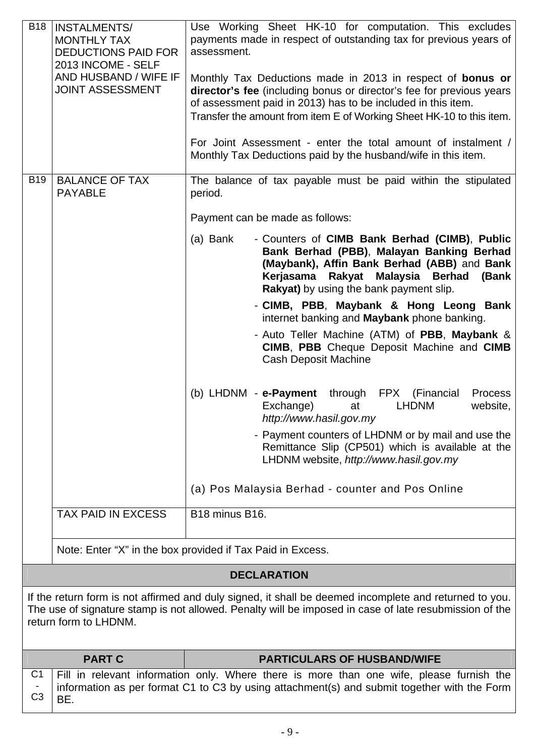| <b>B18</b>                       | <b>INSTALMENTS/</b><br><b>MONTHLY TAX</b><br><b>DEDUCTIONS PAID FOR</b><br>2013 INCOME - SELF<br>AND HUSBAND / WIFE IF<br><b>JOINT ASSESSMENT</b>                                                                                         | Use Working Sheet HK-10 for computation. This excludes<br>payments made in respect of outstanding tax for previous years of<br>assessment.<br>Monthly Tax Deductions made in 2013 in respect of <b>bonus or</b><br>director's fee (including bonus or director's fee for previous years<br>of assessment paid in 2013) has to be included in this item.<br>Transfer the amount from item E of Working Sheet HK-10 to this item.<br>For Joint Assessment - enter the total amount of instalment /<br>Monthly Tax Deductions paid by the husband/wife in this item. |  |
|----------------------------------|-------------------------------------------------------------------------------------------------------------------------------------------------------------------------------------------------------------------------------------------|-------------------------------------------------------------------------------------------------------------------------------------------------------------------------------------------------------------------------------------------------------------------------------------------------------------------------------------------------------------------------------------------------------------------------------------------------------------------------------------------------------------------------------------------------------------------|--|
| <b>B19</b>                       | <b>BALANCE OF TAX</b>                                                                                                                                                                                                                     | The balance of tax payable must be paid within the stipulated                                                                                                                                                                                                                                                                                                                                                                                                                                                                                                     |  |
|                                  | <b>PAYABLE</b>                                                                                                                                                                                                                            | period.                                                                                                                                                                                                                                                                                                                                                                                                                                                                                                                                                           |  |
|                                  |                                                                                                                                                                                                                                           | Payment can be made as follows:                                                                                                                                                                                                                                                                                                                                                                                                                                                                                                                                   |  |
|                                  |                                                                                                                                                                                                                                           | - Counters of CIMB Bank Berhad (CIMB), Public<br>(a) Bank<br>Bank Berhad (PBB), Malayan Banking Berhad<br>(Maybank), Affin Bank Berhad (ABB) and Bank<br>Rakyat Malaysia Berhad<br>Kerjasama<br>(Bank<br>Rakyat) by using the bank payment slip.                                                                                                                                                                                                                                                                                                                  |  |
|                                  |                                                                                                                                                                                                                                           | - CIMB, PBB, Maybank & Hong Leong Bank<br>internet banking and <b>Maybank</b> phone banking.                                                                                                                                                                                                                                                                                                                                                                                                                                                                      |  |
|                                  |                                                                                                                                                                                                                                           | - Auto Teller Machine (ATM) of PBB, Maybank &<br>CIMB, PBB Cheque Deposit Machine and CIMB<br><b>Cash Deposit Machine</b>                                                                                                                                                                                                                                                                                                                                                                                                                                         |  |
|                                  |                                                                                                                                                                                                                                           | (b) LHDNM - e-Payment<br>through FPX (Financial<br><b>Process</b><br>Exchange)<br><b>LHDNM</b><br>website,<br>at<br>http://www.hasil.gov.my                                                                                                                                                                                                                                                                                                                                                                                                                       |  |
|                                  |                                                                                                                                                                                                                                           | - Payment counters of LHDNM or by mail and use the<br>Remittance Slip (CP501) which is available at the<br>LHDNM website, http://www.hasil.gov.my                                                                                                                                                                                                                                                                                                                                                                                                                 |  |
|                                  |                                                                                                                                                                                                                                           | (a) Pos Malaysia Berhad - counter and Pos Online                                                                                                                                                                                                                                                                                                                                                                                                                                                                                                                  |  |
|                                  | <b>TAX PAID IN EXCESS</b>                                                                                                                                                                                                                 | B <sub>18</sub> minus B <sub>16</sub> .                                                                                                                                                                                                                                                                                                                                                                                                                                                                                                                           |  |
|                                  |                                                                                                                                                                                                                                           | Note: Enter "X" in the box provided if Tax Paid in Excess.                                                                                                                                                                                                                                                                                                                                                                                                                                                                                                        |  |
|                                  |                                                                                                                                                                                                                                           | <b>DECLARATION</b>                                                                                                                                                                                                                                                                                                                                                                                                                                                                                                                                                |  |
|                                  | If the return form is not affirmed and duly signed, it shall be deemed incomplete and returned to you.<br>The use of signature stamp is not allowed. Penalty will be imposed in case of late resubmission of the<br>return form to LHDNM. |                                                                                                                                                                                                                                                                                                                                                                                                                                                                                                                                                                   |  |
|                                  | <b>PART C</b>                                                                                                                                                                                                                             | <b>PARTICULARS OF HUSBAND/WIFE</b>                                                                                                                                                                                                                                                                                                                                                                                                                                                                                                                                |  |
| C <sub>1</sub><br>C <sub>3</sub> | BE.                                                                                                                                                                                                                                       | Fill in relevant information only. Where there is more than one wife, please furnish the<br>information as per format C1 to C3 by using attachment(s) and submit together with the Form                                                                                                                                                                                                                                                                                                                                                                           |  |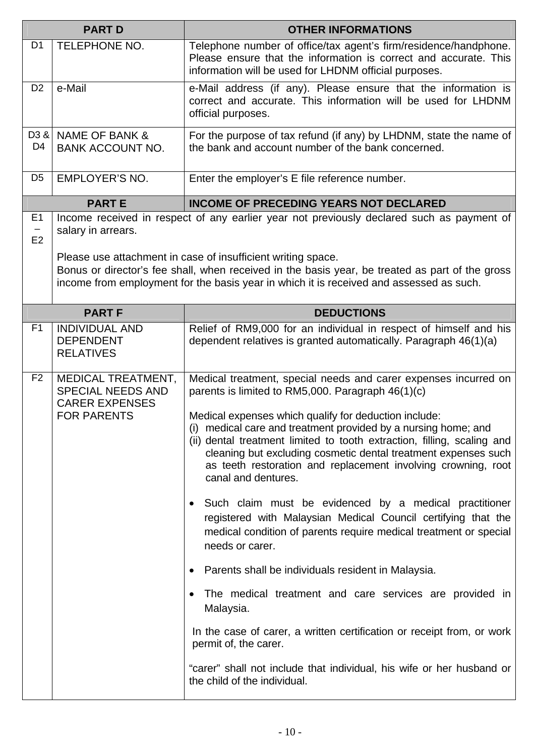| <b>PART D</b>                      |                                                                                               | <b>OTHER INFORMATIONS</b>                                                                                                                                                                                                                                                                                                                                                                                                                                                                                                                                                                                                                                                                                                                                                                                                                                                                                                                                                                                                                                                   |
|------------------------------------|-----------------------------------------------------------------------------------------------|-----------------------------------------------------------------------------------------------------------------------------------------------------------------------------------------------------------------------------------------------------------------------------------------------------------------------------------------------------------------------------------------------------------------------------------------------------------------------------------------------------------------------------------------------------------------------------------------------------------------------------------------------------------------------------------------------------------------------------------------------------------------------------------------------------------------------------------------------------------------------------------------------------------------------------------------------------------------------------------------------------------------------------------------------------------------------------|
| D <sub>1</sub>                     | <b>TELEPHONE NO.</b>                                                                          | Telephone number of office/tax agent's firm/residence/handphone.<br>Please ensure that the information is correct and accurate. This<br>information will be used for LHDNM official purposes.                                                                                                                                                                                                                                                                                                                                                                                                                                                                                                                                                                                                                                                                                                                                                                                                                                                                               |
| D <sub>2</sub>                     | e-Mail                                                                                        | e-Mail address (if any). Please ensure that the information is<br>correct and accurate. This information will be used for LHDNM<br>official purposes.                                                                                                                                                                                                                                                                                                                                                                                                                                                                                                                                                                                                                                                                                                                                                                                                                                                                                                                       |
| D <sub>3</sub> &<br>D <sub>4</sub> | NAME OF BANK &<br><b>BANK ACCOUNT NO.</b>                                                     | For the purpose of tax refund (if any) by LHDNM, state the name of<br>the bank and account number of the bank concerned.                                                                                                                                                                                                                                                                                                                                                                                                                                                                                                                                                                                                                                                                                                                                                                                                                                                                                                                                                    |
| D <sub>5</sub>                     | <b>EMPLOYER'S NO.</b>                                                                         | Enter the employer's E file reference number.                                                                                                                                                                                                                                                                                                                                                                                                                                                                                                                                                                                                                                                                                                                                                                                                                                                                                                                                                                                                                               |
|                                    | <b>PARTE</b>                                                                                  | <b>INCOME OF PRECEDING YEARS NOT DECLARED</b>                                                                                                                                                                                                                                                                                                                                                                                                                                                                                                                                                                                                                                                                                                                                                                                                                                                                                                                                                                                                                               |
| E <sub>1</sub><br>E2               | salary in arrears.                                                                            | Income received in respect of any earlier year not previously declared such as payment of<br>Please use attachment in case of insufficient writing space.<br>Bonus or director's fee shall, when received in the basis year, be treated as part of the gross<br>income from employment for the basis year in which it is received and assessed as such.                                                                                                                                                                                                                                                                                                                                                                                                                                                                                                                                                                                                                                                                                                                     |
|                                    | <b>PART F</b>                                                                                 | <b>DEDUCTIONS</b>                                                                                                                                                                                                                                                                                                                                                                                                                                                                                                                                                                                                                                                                                                                                                                                                                                                                                                                                                                                                                                                           |
| F <sub>1</sub>                     | <b>INDIVIDUAL AND</b><br><b>DEPENDENT</b><br><b>RELATIVES</b>                                 | Relief of RM9,000 for an individual in respect of himself and his<br>dependent relatives is granted automatically. Paragraph 46(1)(a)                                                                                                                                                                                                                                                                                                                                                                                                                                                                                                                                                                                                                                                                                                                                                                                                                                                                                                                                       |
| F <sub>2</sub>                     | MEDICAL TREATMENT,<br><b>SPECIAL NEEDS AND</b><br><b>CARER EXPENSES</b><br><b>FOR PARENTS</b> | Medical treatment, special needs and carer expenses incurred on<br>parents is limited to RM5,000. Paragraph 46(1)(c)<br>Medical expenses which qualify for deduction include:<br>(i) medical care and treatment provided by a nursing home; and<br>(ii) dental treatment limited to tooth extraction, filling, scaling and<br>cleaning but excluding cosmetic dental treatment expenses such<br>as teeth restoration and replacement involving crowning, root<br>canal and dentures.<br>Such claim must be evidenced by a medical practitioner<br>$\bullet$<br>registered with Malaysian Medical Council certifying that the<br>medical condition of parents require medical treatment or special<br>needs or carer.<br>Parents shall be individuals resident in Malaysia.<br>$\bullet$<br>The medical treatment and care services are provided in<br>Malaysia.<br>In the case of carer, a written certification or receipt from, or work<br>permit of, the carer.<br>"carer" shall not include that individual, his wife or her husband or<br>the child of the individual. |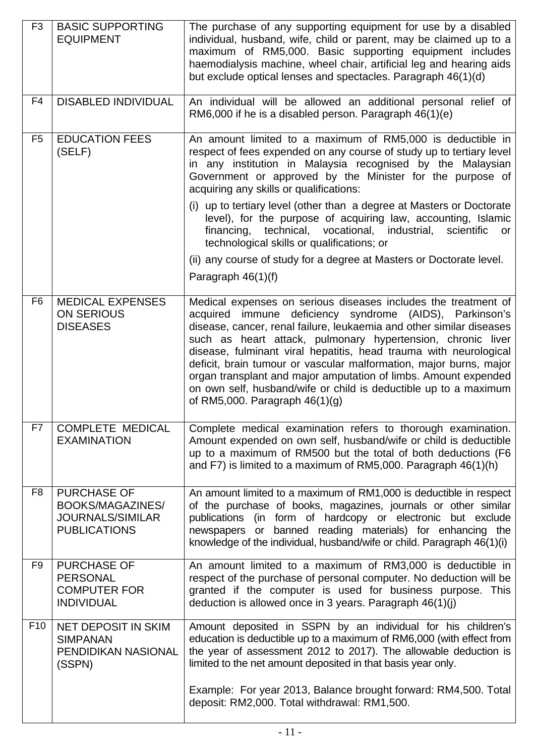| F <sub>3</sub>  | <b>BASIC SUPPORTING</b><br><b>EQUIPMENT</b>                                              | The purchase of any supporting equipment for use by a disabled<br>individual, husband, wife, child or parent, may be claimed up to a<br>maximum of RM5,000. Basic supporting equipment includes<br>haemodialysis machine, wheel chair, artificial leg and hearing aids<br>but exclude optical lenses and spectacles. Paragraph 46(1)(d)                                                                                                                                                                                                                                                |
|-----------------|------------------------------------------------------------------------------------------|----------------------------------------------------------------------------------------------------------------------------------------------------------------------------------------------------------------------------------------------------------------------------------------------------------------------------------------------------------------------------------------------------------------------------------------------------------------------------------------------------------------------------------------------------------------------------------------|
| F <sub>4</sub>  | <b>DISABLED INDIVIDUAL</b>                                                               | An individual will be allowed an additional personal relief of<br>RM6,000 if he is a disabled person. Paragraph 46(1)(e)                                                                                                                                                                                                                                                                                                                                                                                                                                                               |
| F <sub>5</sub>  | <b>EDUCATION FEES</b><br>(SELF)                                                          | An amount limited to a maximum of RM5,000 is deductible in<br>respect of fees expended on any course of study up to tertiary level<br>in any institution in Malaysia recognised by the Malaysian<br>Government or approved by the Minister for the purpose of<br>acquiring any skills or qualifications:                                                                                                                                                                                                                                                                               |
|                 |                                                                                          | (i) up to tertiary level (other than a degree at Masters or Doctorate<br>level), for the purpose of acquiring law, accounting, Islamic<br>financing, technical, vocational, industrial,<br>scientific<br>or<br>technological skills or qualifications; or                                                                                                                                                                                                                                                                                                                              |
|                 |                                                                                          | (ii) any course of study for a degree at Masters or Doctorate level.<br>Paragraph $46(1)(f)$                                                                                                                                                                                                                                                                                                                                                                                                                                                                                           |
| F <sub>6</sub>  | <b>MEDICAL EXPENSES</b><br><b>ON SERIOUS</b><br><b>DISEASES</b>                          | Medical expenses on serious diseases includes the treatment of<br>acquired immune deficiency syndrome (AIDS), Parkinson's<br>disease, cancer, renal failure, leukaemia and other similar diseases<br>such as heart attack, pulmonary hypertension, chronic liver<br>disease, fulminant viral hepatitis, head trauma with neurological<br>deficit, brain tumour or vascular malformation, major burns, major<br>organ transplant and major amputation of limbs. Amount expended<br>on own self, husband/wife or child is deductible up to a maximum<br>of RM5,000. Paragraph $46(1)(g)$ |
| F7              | <b>COMPLETE MEDICAL</b><br><b>EXAMINATION</b>                                            | Complete medical examination refers to thorough examination.<br>Amount expended on own self, husband/wife or child is deductible<br>up to a maximum of RM500 but the total of both deductions (F6<br>and F7) is limited to a maximum of RM5,000. Paragraph 46(1)(h)                                                                                                                                                                                                                                                                                                                    |
| F <sub>8</sub>  | <b>PURCHASE OF</b><br>BOOKS/MAGAZINES/<br><b>JOURNALS/SIMILAR</b><br><b>PUBLICATIONS</b> | An amount limited to a maximum of RM1,000 is deductible in respect<br>of the purchase of books, magazines, journals or other similar<br>publications (in form of hardcopy or electronic but exclude<br>newspapers or banned reading materials) for enhancing the<br>knowledge of the individual, husband/wife or child. Paragraph 46(1)(i)                                                                                                                                                                                                                                             |
| F9              | <b>PURCHASE OF</b><br><b>PERSONAL</b><br><b>COMPUTER FOR</b><br><b>INDIVIDUAL</b>        | An amount limited to a maximum of RM3,000 is deductible in<br>respect of the purchase of personal computer. No deduction will be<br>granted if the computer is used for business purpose. This<br>deduction is allowed once in 3 years. Paragraph 46(1)(j)                                                                                                                                                                                                                                                                                                                             |
| F <sub>10</sub> | <b>NET DEPOSIT IN SKIM</b><br><b>SIMPANAN</b><br>PENDIDIKAN NASIONAL<br>(SSPN)           | Amount deposited in SSPN by an individual for his children's<br>education is deductible up to a maximum of RM6,000 (with effect from<br>the year of assessment 2012 to 2017). The allowable deduction is<br>limited to the net amount deposited in that basis year only.                                                                                                                                                                                                                                                                                                               |
|                 |                                                                                          | Example: For year 2013, Balance brought forward: RM4,500. Total<br>deposit: RM2,000. Total withdrawal: RM1,500.                                                                                                                                                                                                                                                                                                                                                                                                                                                                        |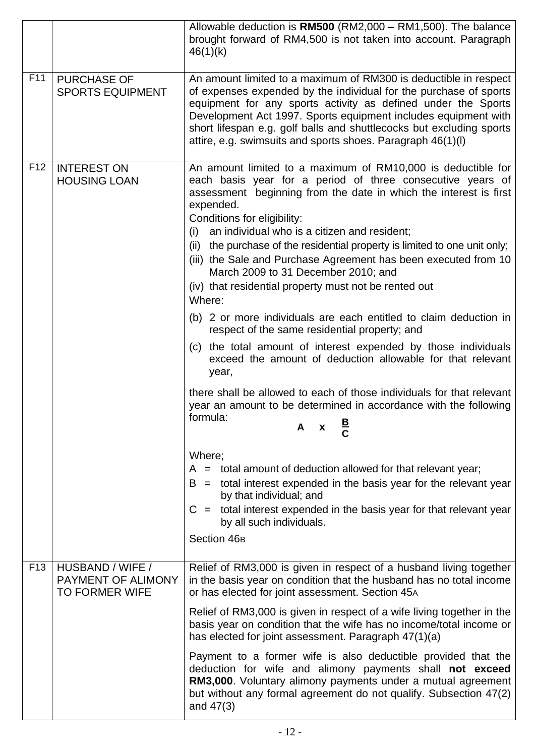|                 |                                                                 | Allowable deduction is RM500 (RM2,000 - RM1,500). The balance<br>brought forward of RM4,500 is not taken into account. Paragraph<br>46(1)(k)                                                                                                                                                                                                                                                                                                                                                                                                                                                                                                                                                                                                                                                                                                                                                                                                                                                                                                                                                                                                                                                                                                                                                                                 |
|-----------------|-----------------------------------------------------------------|------------------------------------------------------------------------------------------------------------------------------------------------------------------------------------------------------------------------------------------------------------------------------------------------------------------------------------------------------------------------------------------------------------------------------------------------------------------------------------------------------------------------------------------------------------------------------------------------------------------------------------------------------------------------------------------------------------------------------------------------------------------------------------------------------------------------------------------------------------------------------------------------------------------------------------------------------------------------------------------------------------------------------------------------------------------------------------------------------------------------------------------------------------------------------------------------------------------------------------------------------------------------------------------------------------------------------|
| F11             | <b>PURCHASE OF</b><br><b>SPORTS EQUIPMENT</b>                   | An amount limited to a maximum of RM300 is deductible in respect<br>of expenses expended by the individual for the purchase of sports<br>equipment for any sports activity as defined under the Sports<br>Development Act 1997. Sports equipment includes equipment with<br>short lifespan e.g. golf balls and shuttlecocks but excluding sports<br>attire, e.g. swimsuits and sports shoes. Paragraph 46(1)(l)                                                                                                                                                                                                                                                                                                                                                                                                                                                                                                                                                                                                                                                                                                                                                                                                                                                                                                              |
| F <sub>12</sub> | <b>INTEREST ON</b><br><b>HOUSING LOAN</b>                       | An amount limited to a maximum of RM10,000 is deductible for<br>each basis year for a period of three consecutive years of<br>assessment beginning from the date in which the interest is first<br>expended.<br>Conditions for eligibility:<br>an individual who is a citizen and resident;<br>(i)<br>(ii) the purchase of the residential property is limited to one unit only;<br>(iii) the Sale and Purchase Agreement has been executed from 10<br>March 2009 to 31 December 2010; and<br>(iv) that residential property must not be rented out<br>Where:<br>(b) 2 or more individuals are each entitled to claim deduction in<br>respect of the same residential property; and<br>(c) the total amount of interest expended by those individuals<br>exceed the amount of deduction allowable for that relevant<br>year,<br>there shall be allowed to each of those individuals for that relevant<br>year an amount to be determined in accordance with the following<br>formula:<br>A<br>$\mathbf{X}$<br>Where;<br>$A =$ total amount of deduction allowed for that relevant year;<br>$B =$ total interest expended in the basis year for the relevant year<br>by that individual; and<br>$C =$ total interest expended in the basis year for that relevant year<br>by all such individuals.<br>Section 46 <sub>B</sub> |
| F <sub>13</sub> | HUSBAND / WIFE /<br>PAYMENT OF ALIMONY<br><b>TO FORMER WIFE</b> | Relief of RM3,000 is given in respect of a husband living together<br>in the basis year on condition that the husband has no total income<br>or has elected for joint assessment. Section 45A                                                                                                                                                                                                                                                                                                                                                                                                                                                                                                                                                                                                                                                                                                                                                                                                                                                                                                                                                                                                                                                                                                                                |
|                 |                                                                 | Relief of RM3,000 is given in respect of a wife living together in the<br>basis year on condition that the wife has no income/total income or<br>has elected for joint assessment. Paragraph 47(1)(a)                                                                                                                                                                                                                                                                                                                                                                                                                                                                                                                                                                                                                                                                                                                                                                                                                                                                                                                                                                                                                                                                                                                        |
|                 |                                                                 | Payment to a former wife is also deductible provided that the<br>deduction for wife and alimony payments shall not exceed<br>RM3,000. Voluntary alimony payments under a mutual agreement<br>but without any formal agreement do not qualify. Subsection 47(2)<br>and $47(3)$                                                                                                                                                                                                                                                                                                                                                                                                                                                                                                                                                                                                                                                                                                                                                                                                                                                                                                                                                                                                                                                |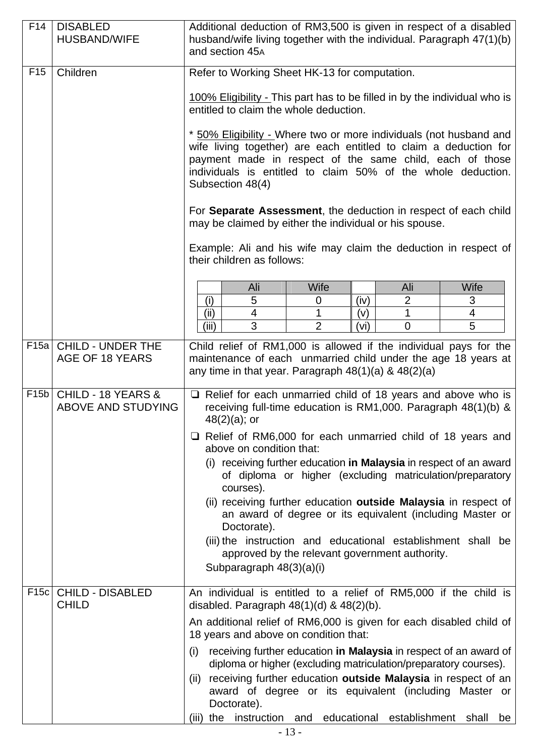| F14             | <b>DISABLED</b><br><b>HUSBAND/WIFE</b>          | Additional deduction of RM3,500 is given in respect of a disabled<br>husband/wife living together with the individual. Paragraph 47(1)(b)<br>and section 45A                                                                                                                           |  |  |  |  |
|-----------------|-------------------------------------------------|----------------------------------------------------------------------------------------------------------------------------------------------------------------------------------------------------------------------------------------------------------------------------------------|--|--|--|--|
| F <sub>15</sub> | Children                                        | Refer to Working Sheet HK-13 for computation.                                                                                                                                                                                                                                          |  |  |  |  |
|                 |                                                 | 100% Eligibility - This part has to be filled in by the individual who is<br>entitled to claim the whole deduction.                                                                                                                                                                    |  |  |  |  |
|                 |                                                 | * 50% Eligibility - Where two or more individuals (not husband and<br>wife living together) are each entitled to claim a deduction for<br>payment made in respect of the same child, each of those<br>individuals is entitled to claim 50% of the whole deduction.<br>Subsection 48(4) |  |  |  |  |
|                 |                                                 | For Separate Assessment, the deduction in respect of each child<br>may be claimed by either the individual or his spouse.                                                                                                                                                              |  |  |  |  |
|                 |                                                 | Example: Ali and his wife may claim the deduction in respect of<br>their children as follows:                                                                                                                                                                                          |  |  |  |  |
|                 |                                                 | <b>Wife</b><br><b>Wife</b><br>Ali<br>Ali                                                                                                                                                                                                                                               |  |  |  |  |
|                 |                                                 | (i)<br>5<br>(iv)<br>2<br>3<br>0                                                                                                                                                                                                                                                        |  |  |  |  |
|                 |                                                 | (ii)<br>$\overline{4}$<br>1<br>1<br>4<br>(v)<br>$\overline{2}$<br>(iii)<br>3<br>5<br>(v <sub>i</sub> )<br>$\overline{0}$                                                                                                                                                               |  |  |  |  |
| F15a            | <b>CHILD - UNDER THE</b><br>AGE OF 18 YEARS     | Child relief of RM1,000 is allowed if the individual pays for the<br>maintenance of each unmarried child under the age 18 years at<br>any time in that year. Paragraph $48(1)(a)$ & $48(2)(a)$                                                                                         |  |  |  |  |
| F15b            | CHILD - 18 YEARS &<br><b>ABOVE AND STUDYING</b> | $\Box$ Relief for each unmarried child of 18 years and above who is<br>receiving full-time education is RM1,000. Paragraph 48(1)(b) &<br>$48(2)(a)$ ; or                                                                                                                               |  |  |  |  |
|                 |                                                 | $\Box$ Relief of RM6,000 for each unmarried child of 18 years and<br>above on condition that:                                                                                                                                                                                          |  |  |  |  |
|                 |                                                 | receiving further education in Malaysia in respect of an award<br>(1)<br>of diploma or higher (excluding matriculation/preparatory                                                                                                                                                     |  |  |  |  |
|                 |                                                 | courses).<br>(ii) receiving further education outside Malaysia in respect of<br>an award of degree or its equivalent (including Master or<br>Doctorate).                                                                                                                               |  |  |  |  |
|                 |                                                 | (iii) the instruction and educational establishment shall be<br>approved by the relevant government authority.<br>Subparagraph 48(3)(a)(i)                                                                                                                                             |  |  |  |  |
| F15c            | <b>CHILD - DISABLED</b><br><b>CHILD</b>         | An individual is entitled to a relief of RM5,000 if the child is<br>disabled. Paragraph $48(1)(d)$ & $48(2)(b)$ .                                                                                                                                                                      |  |  |  |  |
|                 |                                                 | An additional relief of RM6,000 is given for each disabled child of<br>18 years and above on condition that:                                                                                                                                                                           |  |  |  |  |
|                 |                                                 | receiving further education in Malaysia in respect of an award of<br>(i)<br>diploma or higher (excluding matriculation/preparatory courses).                                                                                                                                           |  |  |  |  |
|                 |                                                 | receiving further education outside Malaysia in respect of an<br>(ii)<br>award of degree or its equivalent (including Master or<br>Doctorate).                                                                                                                                         |  |  |  |  |
|                 |                                                 | (iii) the instruction and educational establishment shall<br>be                                                                                                                                                                                                                        |  |  |  |  |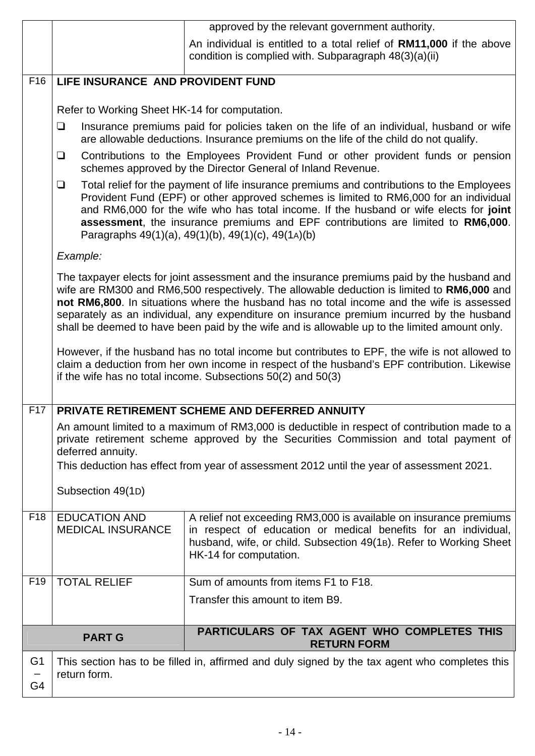|                 | approved by the relevant government authority.                                                                                                                                                                                                                                                                                                                                                                                                                                       |                                                                                                                               |  |  |  |  |  |  |
|-----------------|--------------------------------------------------------------------------------------------------------------------------------------------------------------------------------------------------------------------------------------------------------------------------------------------------------------------------------------------------------------------------------------------------------------------------------------------------------------------------------------|-------------------------------------------------------------------------------------------------------------------------------|--|--|--|--|--|--|
|                 |                                                                                                                                                                                                                                                                                                                                                                                                                                                                                      | An individual is entitled to a total relief of RM11,000 if the above<br>condition is complied with. Subparagraph 48(3)(a)(ii) |  |  |  |  |  |  |
| F <sub>16</sub> | LIFE INSURANCE AND PROVIDENT FUND                                                                                                                                                                                                                                                                                                                                                                                                                                                    |                                                                                                                               |  |  |  |  |  |  |
|                 | Refer to Working Sheet HK-14 for computation.                                                                                                                                                                                                                                                                                                                                                                                                                                        |                                                                                                                               |  |  |  |  |  |  |
|                 | Insurance premiums paid for policies taken on the life of an individual, husband or wife<br>❏<br>are allowable deductions. Insurance premiums on the life of the child do not qualify.                                                                                                                                                                                                                                                                                               |                                                                                                                               |  |  |  |  |  |  |
|                 | Contributions to the Employees Provident Fund or other provident funds or pension<br>$\Box$<br>schemes approved by the Director General of Inland Revenue.                                                                                                                                                                                                                                                                                                                           |                                                                                                                               |  |  |  |  |  |  |
|                 | Total relief for the payment of life insurance premiums and contributions to the Employees<br>$\Box$<br>Provident Fund (EPF) or other approved schemes is limited to RM6,000 for an individual<br>and RM6,000 for the wife who has total income. If the husband or wife elects for joint<br>assessment, the insurance premiums and EPF contributions are limited to RM6,000.<br>Paragraphs 49(1)(a), 49(1)(b), 49(1)(c), 49(1A)(b)                                                   |                                                                                                                               |  |  |  |  |  |  |
|                 | Example:                                                                                                                                                                                                                                                                                                                                                                                                                                                                             |                                                                                                                               |  |  |  |  |  |  |
|                 | The taxpayer elects for joint assessment and the insurance premiums paid by the husband and<br>wife are RM300 and RM6,500 respectively. The allowable deduction is limited to RM6,000 and<br>not RM6,800. In situations where the husband has no total income and the wife is assessed<br>separately as an individual, any expenditure on insurance premium incurred by the husband<br>shall be deemed to have been paid by the wife and is allowable up to the limited amount only. |                                                                                                                               |  |  |  |  |  |  |
|                 | However, if the husband has no total income but contributes to EPF, the wife is not allowed to<br>claim a deduction from her own income in respect of the husband's EPF contribution. Likewise<br>if the wife has no total income. Subsections $50(2)$ and $50(3)$                                                                                                                                                                                                                   |                                                                                                                               |  |  |  |  |  |  |
| F <sub>17</sub> | PRIVATE RETIREMENT SCHEME AND DEFERRED ANNUITY                                                                                                                                                                                                                                                                                                                                                                                                                                       |                                                                                                                               |  |  |  |  |  |  |
|                 | An amount limited to a maximum of RM3,000 is deductible in respect of contribution made to a<br>private retirement scheme approved by the Securities Commission and total payment of<br>deferred annuity.<br>This deduction has effect from year of assessment 2012 until the year of assessment 2021.                                                                                                                                                                               |                                                                                                                               |  |  |  |  |  |  |
|                 |                                                                                                                                                                                                                                                                                                                                                                                                                                                                                      |                                                                                                                               |  |  |  |  |  |  |
|                 | Subsection 49(1D)                                                                                                                                                                                                                                                                                                                                                                                                                                                                    |                                                                                                                               |  |  |  |  |  |  |
| F18             | <b>EDUCATION AND</b><br>A relief not exceeding RM3,000 is available on insurance premiums<br>in respect of education or medical benefits for an individual,<br><b>MEDICAL INSURANCE</b><br>husband, wife, or child. Subsection 49(1B). Refer to Working Sheet<br>HK-14 for computation.                                                                                                                                                                                              |                                                                                                                               |  |  |  |  |  |  |
| F <sub>19</sub> | <b>TOTAL RELIEF</b>                                                                                                                                                                                                                                                                                                                                                                                                                                                                  | Sum of amounts from items F1 to F18.                                                                                          |  |  |  |  |  |  |
|                 |                                                                                                                                                                                                                                                                                                                                                                                                                                                                                      | Transfer this amount to item B9.                                                                                              |  |  |  |  |  |  |
|                 | <b>PART G</b>                                                                                                                                                                                                                                                                                                                                                                                                                                                                        | PARTICULARS OF TAX AGENT WHO COMPLETES THIS<br><b>RETURN FORM</b>                                                             |  |  |  |  |  |  |
| G <sub>1</sub>  |                                                                                                                                                                                                                                                                                                                                                                                                                                                                                      | This section has to be filled in, affirmed and duly signed by the tax agent who completes this                                |  |  |  |  |  |  |
| G4              | return form.                                                                                                                                                                                                                                                                                                                                                                                                                                                                         |                                                                                                                               |  |  |  |  |  |  |
|                 |                                                                                                                                                                                                                                                                                                                                                                                                                                                                                      |                                                                                                                               |  |  |  |  |  |  |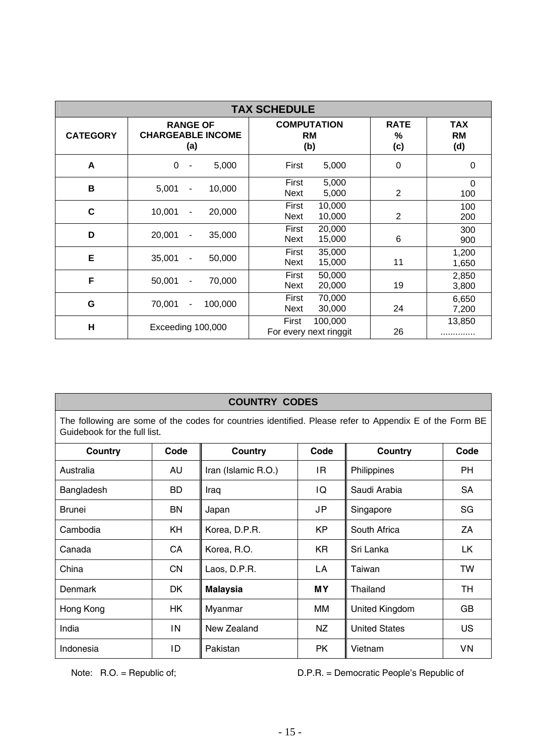| <b>TAX SCHEDULE</b>     |                                                    |                                            |                         |                                |  |  |  |
|-------------------------|----------------------------------------------------|--------------------------------------------|-------------------------|--------------------------------|--|--|--|
| <b>CATEGORY</b>         | <b>RANGE OF</b><br><b>CHARGEABLE INCOME</b><br>(a) | <b>COMPUTATION</b><br><b>RM</b><br>(b)     | <b>RATE</b><br>%<br>(c) | <b>TAX</b><br><b>RM</b><br>(d) |  |  |  |
| A                       | $\Omega$<br>5,000<br>۰                             | First<br>5,000                             | 0                       | 0                              |  |  |  |
| B                       | 5,001<br>10,000<br>$\overline{\phantom{0}}$        | First<br>5,000<br>5,000<br>Next            | 2                       | $\mathbf 0$<br>100             |  |  |  |
| $\mathbf c$             | 10,001<br>20,000<br>-                              | First<br>10,000<br>Next<br>10,000          | 2                       | 100<br>200                     |  |  |  |
| D                       | 20,001<br>35,000<br>$\qquad \qquad \blacksquare$   | First<br>20,000<br>Next<br>15,000          | 6                       | 300<br>900                     |  |  |  |
| E                       | 35,001<br>50,000<br>$\qquad \qquad \blacksquare$   | First<br>35,000<br>Next<br>15,000          | 11                      | 1,200<br>1,650                 |  |  |  |
| F                       | 50,001<br>70,000<br>$\blacksquare$                 | First<br>50,000<br>20,000<br>Next          | 19                      | 2,850<br>3,800                 |  |  |  |
| G                       | 70,001<br>100,000<br>$\overline{\phantom{a}}$      | First<br>70,000<br>30,000<br>Next          | 24                      | 6,650<br>7,200                 |  |  |  |
| $\overline{\mathsf{H}}$ | Exceeding 100,000                                  | First<br>100,000<br>For every next ringgit | 26                      | 13,850                         |  |  |  |

#### **COUNTRY CODES**

The following are some of the codes for countries identified. Please refer to Appendix E of the Form BE Guidebook for the full list.

| Country                     | Code              | Country                      | Code                      | Country              | Code      |
|-----------------------------|-------------------|------------------------------|---------------------------|----------------------|-----------|
| Australia                   | AU                | Iran (Islamic R.O.)          | IR                        | Philippines          | <b>PH</b> |
| Bangladesh                  | <b>BD</b>         | IQ<br>Iraq                   |                           | Saudi Arabia         | <b>SA</b> |
| Brunei                      | JP<br>BN<br>Japan |                              | Singapore                 | SG                   |           |
| Cambodia<br>KH              |                   | Korea, D.P.R.                | <b>KP</b><br>South Africa |                      | ΖA        |
| Canada                      | CA                | Korea, R.O.                  | <b>KR</b>                 | Sri Lanka            | LK        |
| China<br>CN<br>Laos, D.P.R. |                   | LA                           | Taiwan                    | TW                   |           |
| Denmark                     | DK.               | <b>MY</b><br><b>Malaysia</b> |                           | Thailand             | <b>TH</b> |
| Hong Kong                   | ΗK                | Myanmar                      | ΜМ                        | United Kingdom       | GB        |
| India                       | IN                | New Zealand                  | ΝZ                        | <b>United States</b> | <b>US</b> |
| Indonesia                   | ID                | Pakistan                     | РK                        | Vietnam              | VN        |

Note: R.O. = Republic of;  $D.P.R.$  = Democratic People's Republic of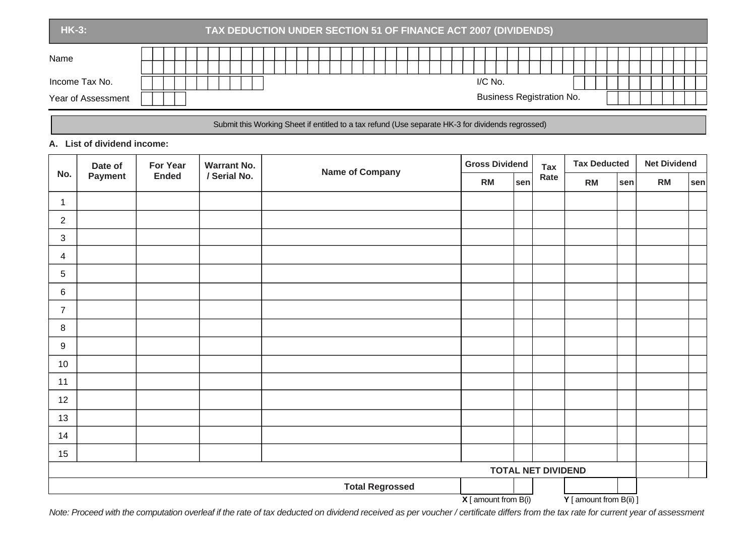| <b>HK-3:</b>                         | TAX DEDUCTION UNDER SECTION 51 OF FINANCE ACT 2007 (DIVIDENDS) |  |  |  |  |  |  |
|--------------------------------------|----------------------------------------------------------------|--|--|--|--|--|--|
| Name                                 |                                                                |  |  |  |  |  |  |
| Income Tax No.<br>Year of Assessment | I/C No.<br><b>Business Registration No.</b>                    |  |  |  |  |  |  |

#### Submit this Working Sheet if entitled to a tax refund (Use separate HK-3 for dividends regrossed)

#### **A. List of dividend income:**

|                | Date of | <b>For Year</b> | <b>Warrant No.</b> | <b>Name of Company</b> | <b>Gross Dividend</b>    |            | <b>Tax</b>                | <b>Tax Deducted</b>     |     | <b>Net Dividend</b> |                  |
|----------------|---------|-----------------|--------------------|------------------------|--------------------------|------------|---------------------------|-------------------------|-----|---------------------|------------------|
| No.            | Payment | <b>Ended</b>    | / Serial No.       |                        | <b>RM</b>                | <b>sen</b> | Rate                      | RM                      | sen | RM                  | $ \textsf{sen} $ |
| $\mathbf 1$    |         |                 |                    |                        |                          |            |                           |                         |     |                     |                  |
| $\overline{2}$ |         |                 |                    |                        |                          |            |                           |                         |     |                     |                  |
| $\mathfrak{S}$ |         |                 |                    |                        |                          |            |                           |                         |     |                     |                  |
| 4              |         |                 |                    |                        |                          |            |                           |                         |     |                     |                  |
| $5\,$          |         |                 |                    |                        |                          |            |                           |                         |     |                     |                  |
| 6              |         |                 |                    |                        |                          |            |                           |                         |     |                     |                  |
| $\overline{7}$ |         |                 |                    |                        |                          |            |                           |                         |     |                     |                  |
| $\bf 8$        |         |                 |                    |                        |                          |            |                           |                         |     |                     |                  |
| 9              |         |                 |                    |                        |                          |            |                           |                         |     |                     |                  |
| 10             |         |                 |                    |                        |                          |            |                           |                         |     |                     |                  |
| 11             |         |                 |                    |                        |                          |            |                           |                         |     |                     |                  |
| 12             |         |                 |                    |                        |                          |            |                           |                         |     |                     |                  |
| 13             |         |                 |                    |                        |                          |            |                           |                         |     |                     |                  |
| 14             |         |                 |                    |                        |                          |            |                           |                         |     |                     |                  |
| 15             |         |                 |                    |                        |                          |            |                           |                         |     |                     |                  |
|                |         |                 |                    |                        |                          |            | <b>TOTAL NET DIVIDEND</b> |                         |     |                     |                  |
|                |         |                 |                    | <b>Total Regrossed</b> |                          |            |                           |                         |     |                     |                  |
|                |         |                 |                    |                        | $X$ [ amount from $B(i)$ |            |                           | Y [ amount from B(ii) ] |     |                     |                  |

*Note: Proceed with the computation overleaf if the rate of tax deducted on dividend received as per voucher / certificate differs from the tax rate for current year of assessment*